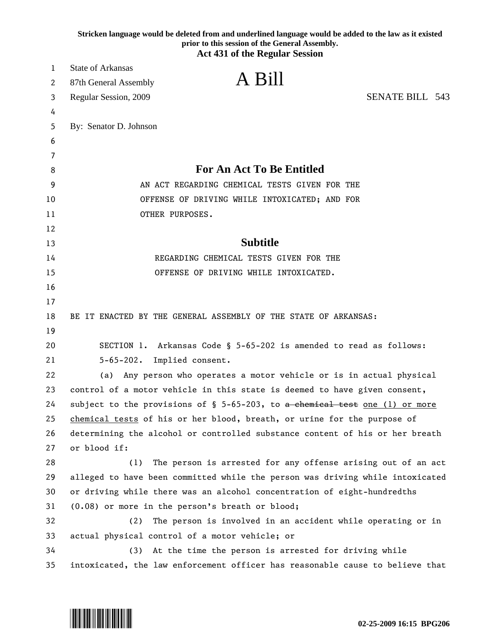|    | Stricken language would be deleted from and underlined language would be added to the law as it existed<br>prior to this session of the General Assembly.<br><b>Act 431 of the Regular Session</b> |
|----|----------------------------------------------------------------------------------------------------------------------------------------------------------------------------------------------------|
| 1  | <b>State of Arkansas</b>                                                                                                                                                                           |
| 2  | A Bill<br>87th General Assembly                                                                                                                                                                    |
| 3  | <b>SENATE BILL 543</b><br>Regular Session, 2009                                                                                                                                                    |
| 4  |                                                                                                                                                                                                    |
| 5  | By: Senator D. Johnson                                                                                                                                                                             |
| 6  |                                                                                                                                                                                                    |
| 7  |                                                                                                                                                                                                    |
| 8  | <b>For An Act To Be Entitled</b>                                                                                                                                                                   |
| 9  | AN ACT REGARDING CHEMICAL TESTS GIVEN FOR THE                                                                                                                                                      |
| 10 | OFFENSE OF DRIVING WHILE INTOXICATED; AND FOR                                                                                                                                                      |
| 11 | OTHER PURPOSES.                                                                                                                                                                                    |
| 12 |                                                                                                                                                                                                    |
| 13 | <b>Subtitle</b>                                                                                                                                                                                    |
| 14 | REGARDING CHEMICAL TESTS GIVEN FOR THE                                                                                                                                                             |
| 15 | OFFENSE OF DRIVING WHILE INTOXICATED.                                                                                                                                                              |
| 16 |                                                                                                                                                                                                    |
| 17 |                                                                                                                                                                                                    |
| 18 | BE IT ENACTED BY THE GENERAL ASSEMBLY OF THE STATE OF ARKANSAS:                                                                                                                                    |
| 19 |                                                                                                                                                                                                    |
| 20 | SECTION 1. Arkansas Code § 5-65-202 is amended to read as follows:                                                                                                                                 |
| 21 | $5 - 65 - 202$ .<br>Implied consent.                                                                                                                                                               |
| 22 | Any person who operates a motor vehicle or is in actual physical<br>(a)                                                                                                                            |
| 23 | control of a motor vehicle in this state is deemed to have given consent,                                                                                                                          |
| 24 | subject to the provisions of $\S$ 5-65-203, to a chemical test one (1) or more                                                                                                                     |
| 25 | chemical tests of his or her blood, breath, or urine for the purpose of                                                                                                                            |
| 26 | determining the alcohol or controlled substance content of his or her breath                                                                                                                       |
| 27 | or blood if:                                                                                                                                                                                       |
| 28 | (1)<br>The person is arrested for any offense arising out of an act                                                                                                                                |
| 29 | alleged to have been committed while the person was driving while intoxicated                                                                                                                      |
| 30 | or driving while there was an alcohol concentration of eight-hundredths                                                                                                                            |
| 31 | (0.08) or more in the person's breath or blood;                                                                                                                                                    |
| 32 | (2)<br>The person is involved in an accident while operating or in                                                                                                                                 |
| 33 | actual physical control of a motor vehicle; or                                                                                                                                                     |
| 34 | At the time the person is arrested for driving while<br>(3)                                                                                                                                        |
| 35 | intoxicated, the law enforcement officer has reasonable cause to believe that                                                                                                                      |